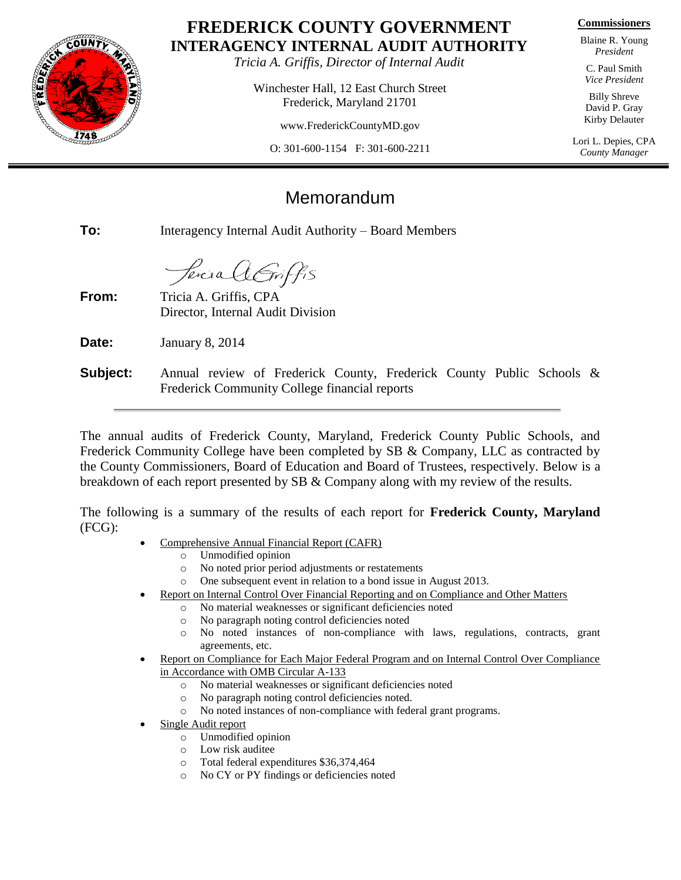

## **FREDERICK COUNTY GOVERNMENT INTERAGENCY INTERNAL AUDIT AUTHORITY**

*Tricia A. Griffis, Director of Internal Audit*

Winchester Hall, 12 East Church Street Frederick, Maryland 21701

www.FrederickCountyMD.gov

O: 301-600-1154 F: 301-600-2211

**Commissioners**

Blaine R. Young *President*

C. Paul Smith *Vice President*

Billy Shreve David P. Gray Kirby Delauter

Lori L. Depies, CPA *County Manager*

## Memorandum

**To:** Interagency Internal Audit Authority – Board Members

*Sercia A Griffis* 

**From:** Tricia A. Griffis, CPA Director, Internal Audit Division

**Date:** January 8, 2014

**Subject:** Annual review of Frederick County, Frederick County Public Schools & Frederick Community College financial reports

The annual audits of Frederick County, Maryland, Frederick County Public Schools, and Frederick Community College have been completed by SB & Company, LLC as contracted by the County Commissioners, Board of Education and Board of Trustees, respectively. Below is a breakdown of each report presented by SB & Company along with my review of the results.

The following is a summary of the results of each report for **Frederick County, Maryland** (FCG):

- Comprehensive Annual Financial Report (CAFR)
	- o Unmodified opinion
	- o No noted prior period adjustments or restatements
	- o One subsequent event in relation to a bond issue in August 2013.
- Report on Internal Control Over Financial Reporting and on Compliance and Other Matters
	- o No material weaknesses or significant deficiencies noted
	- o No paragraph noting control deficiencies noted
	- o No noted instances of non-compliance with laws, regulations, contracts, grant agreements, etc.
- Report on Compliance for Each Major Federal Program and on Internal Control Over Compliance in Accordance with OMB Circular A-133
	- o No material weaknesses or significant deficiencies noted
	- o No paragraph noting control deficiencies noted.
	- o No noted instances of non-compliance with federal grant programs.
- Single Audit report
	- o Unmodified opinion
	- o Low risk auditee
	- o Total federal expenditures \$36,374,464
	- o No CY or PY findings or deficiencies noted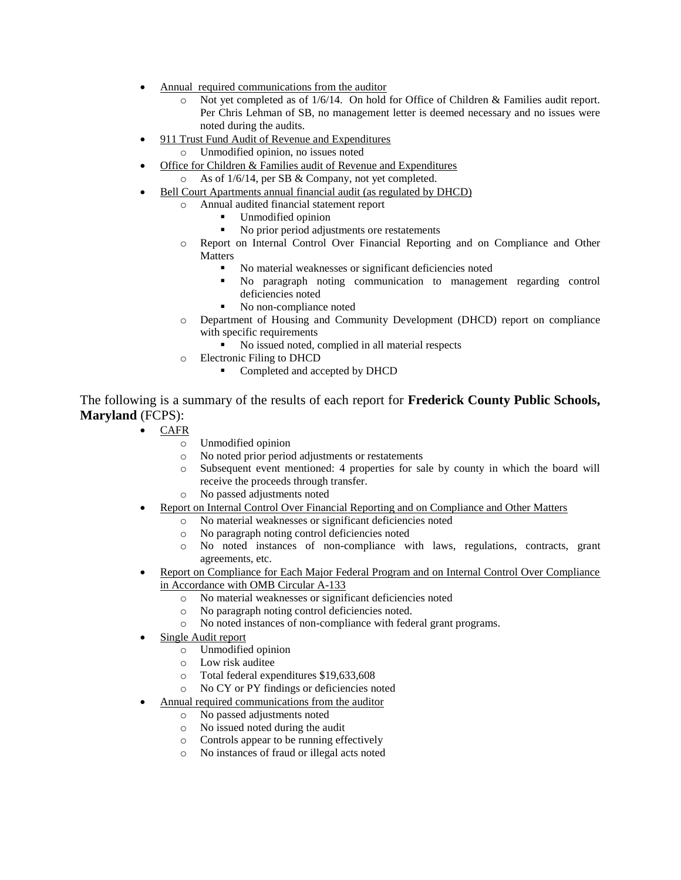- Annual required communications from the auditor
	- $\circ$  Not yet completed as of 1/6/14. On hold for Office of Children & Families audit report. Per Chris Lehman of SB, no management letter is deemed necessary and no issues were noted during the audits.
- 911 Trust Fund Audit of Revenue and Expenditures
	- o Unmodified opinion, no issues noted
- Office for Children & Families audit of Revenue and Expenditures o As of 1/6/14, per SB & Company, not yet completed.
- Bell Court Apartments annual financial audit (as regulated by DHCD)
	- o Annual audited financial statement report
		- **Unmodified opinion**
		- No prior period adjustments ore restatements
	- o Report on Internal Control Over Financial Reporting and on Compliance and Other Matters
		- No material weaknesses or significant deficiencies noted
		- No paragraph noting communication to management regarding control deficiencies noted
		- No non-compliance noted
	- o Department of Housing and Community Development (DHCD) report on compliance with specific requirements
		- No issued noted, complied in all material respects
	- o Electronic Filing to DHCD
		- Completed and accepted by DHCD

The following is a summary of the results of each report for **Frederick County Public Schools, Maryland** (FCPS):

- CAFR
	- o Unmodified opinion
	- o No noted prior period adjustments or restatements
	- o Subsequent event mentioned: 4 properties for sale by county in which the board will receive the proceeds through transfer.
	- o No passed adjustments noted
- Report on Internal Control Over Financial Reporting and on Compliance and Other Matters
	- o No material weaknesses or significant deficiencies noted
	- No paragraph noting control deficiencies noted
	- o No noted instances of non-compliance with laws, regulations, contracts, grant agreements, etc.
- Report on Compliance for Each Major Federal Program and on Internal Control Over Compliance in Accordance with OMB Circular A-133
	- o No material weaknesses or significant deficiencies noted
	- o No paragraph noting control deficiencies noted.
	- o No noted instances of non-compliance with federal grant programs.
- Single Audit report
	- o Unmodified opinion
	- o Low risk auditee
	- o Total federal expenditures \$19,633,608
	- o No CY or PY findings or deficiencies noted
- Annual required communications from the auditor
	- o No passed adjustments noted
	- o No issued noted during the audit
	- o Controls appear to be running effectively
	- o No instances of fraud or illegal acts noted